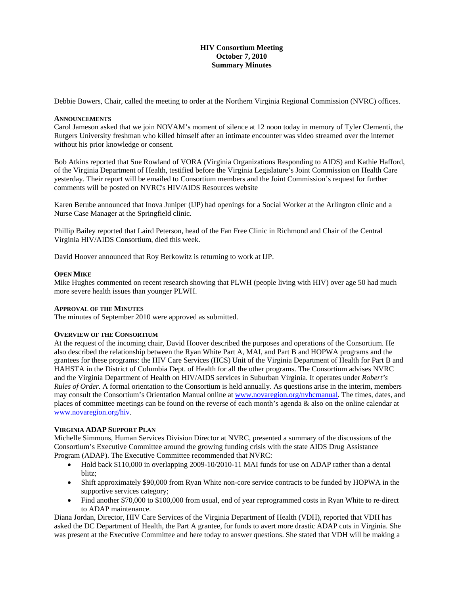## **HIV Consortium Meeting October 7, 2010 Summary Minutes**

Debbie Bowers, Chair, called the meeting to order at the Northern Virginia Regional Commission (NVRC) offices.

#### **ANNOUNCEMENTS**

Carol Jameson asked that we join NOVAM's moment of silence at 12 noon today in memory of Tyler Clementi, the Rutgers University freshman who killed himself after an intimate encounter was video streamed over the internet without his prior knowledge or consent.

Bob Atkins reported that Sue Rowland of VORA (Virginia Organizations Responding to AIDS) and Kathie Hafford, of the Virginia Department of Health, testified before the Virginia Legislature's Joint Commission on Health Care yesterday. Their report will be emailed to Consortium members and the Joint Commission's request for further comments will be posted on NVRC's HIV/AIDS Resources website

Karen Berube announced that Inova Juniper (IJP) had openings for a Social Worker at the Arlington clinic and a Nurse Case Manager at the Springfield clinic.

Phillip Bailey reported that Laird Peterson, head of the Fan Free Clinic in Richmond and Chair of the Central Virginia HIV/AIDS Consortium, died this week.

David Hoover announced that Roy Berkowitz is returning to work at IJP.

### **OPEN MIKE**

Mike Hughes commented on recent research showing that PLWH (people living with HIV) over age 50 had much more severe health issues than younger PLWH.

#### **APPROVAL OF THE MINUTES**

The minutes of September 2010 were approved as submitted.

#### **OVERVIEW OF THE CONSORTIUM**

At the request of the incoming chair, David Hoover described the purposes and operations of the Consortium. He also described the relationship between the Ryan White Part A, MAI, and Part B and HOPWA programs and the grantees for these programs: the HIV Care Services (HCS) Unit of the Virginia Department of Health for Part B and HAHSTA in the District of Columbia Dept. of Health for all the other programs. The Consortium advises NVRC and the Virginia Department of Health on HIV/AIDS services in Suburban Virginia. It operates under *Robert's Rules of Order*. A formal orientation to the Consortium is held annually. As questions arise in the interim, members may consult the Consortium's Orientation Manual online at [www.novaregion.org/nvhcmanual.](http://www.novaregion.org/nvhcmanual) The times, dates, and places of committee meetings can be found on the reverse of each month's agenda & also on the online calendar at [www.novaregion.org/hiv.](http://www.novaregion.org/hiv)

## **VIRGINIA ADAP SUPPORT PLAN**

Michelle Simmons, Human Services Division Director at NVRC, presented a summary of the discussions of the Consortium's Executive Committee around the growing funding crisis with the state AIDS Drug Assistance Program (ADAP). The Executive Committee recommended that NVRC:

- Hold back \$110,000 in overlapping 2009-10/2010-11 MAI funds for use on ADAP rather than a dental blitz;
- Shift approximately \$90,000 from Ryan White non-core service contracts to be funded by HOPWA in the supportive services category;
- Find another \$70,000 to \$100,000 from usual, end of year reprogrammed costs in Ryan White to re-direct to ADAP maintenance.

Diana Jordan, Director, HIV Care Services of the Virginia Department of Health (VDH), reported that VDH has asked the DC Department of Health, the Part A grantee, for funds to avert more drastic ADAP cuts in Virginia. She was present at the Executive Committee and here today to answer questions. She stated that VDH will be making a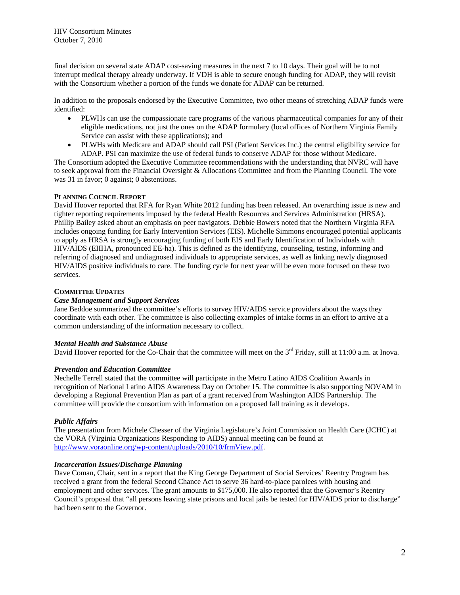HIV Consortium Minutes October 7, 2010

final decision on several state ADAP cost-saving measures in the next 7 to 10 days. Their goal will be to not interrupt medical therapy already underway. If VDH is able to secure enough funding for ADAP, they will revisit with the Consortium whether a portion of the funds we donate for ADAP can be returned.

In addition to the proposals endorsed by the Executive Committee, two other means of stretching ADAP funds were identified:

- PLWHs can use the compassionate care programs of the various pharmaceutical companies for any of their eligible medications, not just the ones on the ADAP formulary (local offices of Northern Virginia Family Service can assist with these applications); and
- PLWHs with Medicare and ADAP should call PSI (Patient Services Inc.) the central eligibility service for ADAP. PSI can maximize the use of federal funds to conserve ADAP for those without Medicare.

The Consortium adopted the Executive Committee recommendations with the understanding that NVRC will have to seek approval from the Financial Oversight & Allocations Committee and from the Planning Council. The vote was 31 in favor; 0 against; 0 abstentions.

### **PLANNING COUNCIL REPORT**

David Hoover reported that RFA for Ryan White 2012 funding has been released. An overarching issue is new and tighter reporting requirements imposed by the federal Health Resources and Services Administration (HRSA). Phillip Bailey asked about an emphasis on peer navigators. Debbie Bowers noted that the Northern Virginia RFA includes ongoing funding for Early Intervention Services (EIS). Michelle Simmons encouraged potential applicants to apply as HRSA is strongly encouraging funding of both EIS and Early Identification of Individuals with HIV/AIDS (EIIHA, pronounced EE-ha). This is defined as the identifying, counseling, testing, informing and referring of diagnosed and undiagnosed individuals to appropriate services, as well as linking newly diagnosed HIV/AIDS positive individuals to care. The funding cycle for next year will be even more focused on these two services.

### **COMMITTEE UPDATES**

# *Case Management and Support Services*

Jane Beddoe summarized the committee's efforts to survey HIV/AIDS service providers about the ways they coordinate with each other. The committee is also collecting examples of intake forms in an effort to arrive at a common understanding of the information necessary to collect.

#### *Mental Health and Substance Abuse*

David Hoover reported for the Co-Chair that the committee will meet on the  $3<sup>rd</sup>$  Friday, still at 11:00 a.m. at Inova.

#### *Prevention and Education Committee*

Nechelle Terrell stated that the committee will participate in the Metro Latino AIDS Coalition Awards in recognition of National Latino AIDS Awareness Day on October 15. The committee is also supporting NOVAM in developing a Regional Prevention Plan as part of a grant received from Washington AIDS Partnership. The committee will provide the consortium with information on a proposed fall training as it develops.

## *Public Affairs*

The presentation from Michele Chesser of the Virginia Legislature's Joint Commission on Health Care (JCHC) at the VORA (Virginia Organizations Responding to AIDS) annual meeting can be found at [http://www.voraonline.org/wp-content/uploads/2010/10/frmView.pdf.](http://www.voraonline.org/wp-content/uploads/2010/10/frmView.pdf)

## *Incarceration Issues/Discharge Planning*

Dave Coman, Chair, sent in a report that the King George Department of Social Services' Reentry Program has received a grant from the federal Second Chance Act to serve 36 hard-to-place parolees with housing and employment and other services. The grant amounts to \$175,000. He also reported that the Governor's Reentry Council's proposal that "all persons leaving state prisons and local jails be tested for HIV/AIDS prior to discharge" had been sent to the Governor.